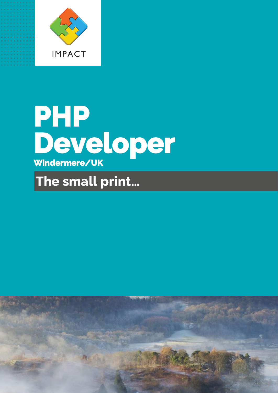

# **PHP Developer Windermere/UK**

# **The small print…**

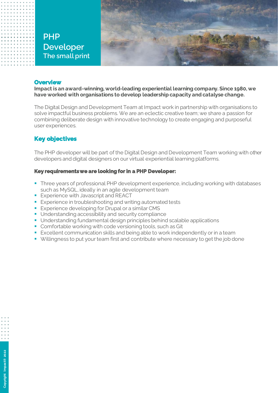# **PHP Developer The small print**



#### **Overview**

**Impact is an award-winning, world-leading experiential learning company. Since 1980, we have worked with organisations to develop leadership capacity and catalyse change.**

The Digital Design and Development Team at Impact work in partnership with organisations to solve impactful business problems. We are an eclectic creative team; we share a passion for combining deliberate design with innovative technology to create engaging and purposeful user experiences.

#### **Key objectives**

**Copyright Impact**

**® 2022**

The PHP developer will be part of the Digital Design and Development Team working with other developers and digital designers on our virtual experiential learning platforms.

#### **Key requirements we are looking for in a PHP Developer:**

- **Three years of professional PHP development experience, including working with databases** such as MySQL, ideally in an agile development team
- **Experience with Javascript and REACT**
- Experience in troubleshooting and writing automated tests
- **Experience developing for Drupal or a similar CMS**
- Understanding accessibility and security compliance
- Understanding fundamental design principles behind scalable applications
- Comfortable working with code versioning tools, such as Git
- **EXCELENT COMMUNICATION SKILLS and being able to work independently or in a team**
- Willingness to put your team first and contribute where necessary to get the job done